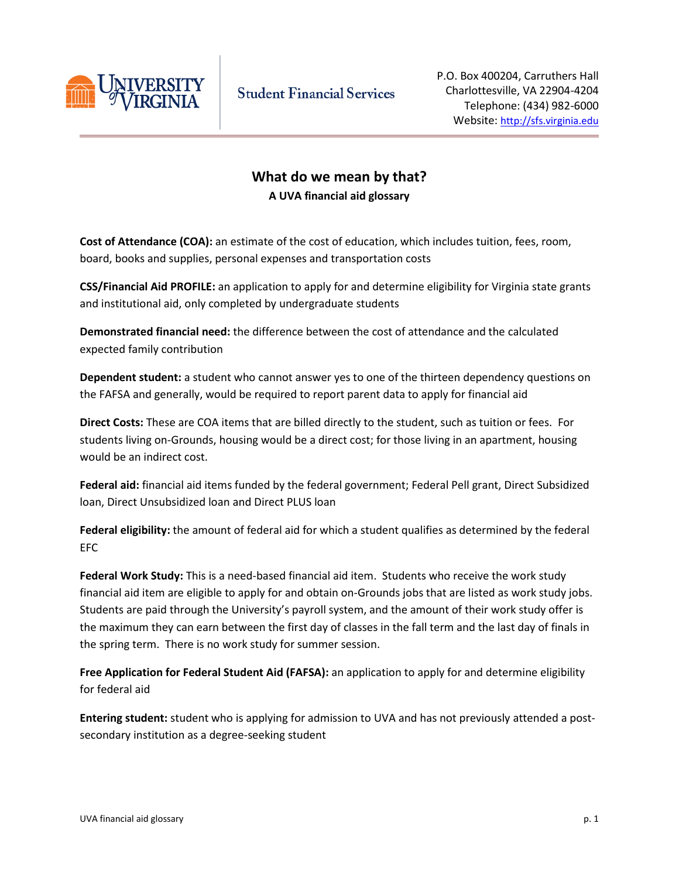

## **What do we mean by that? A UVA financial aid glossary**

**Cost of Attendance (COA):** an estimate of the cost of education, which includes tuition, fees, room, board, books and supplies, personal expenses and transportation costs

**CSS/Financial Aid PROFILE:** an application to apply for and determine eligibility for Virginia state grants and institutional aid, only completed by undergraduate students

**Demonstrated financial need:** the difference between the cost of attendance and the calculated expected family contribution

**Dependent student:** a student who cannot answer yes to one of the thirteen dependency questions on the FAFSA and generally, would be required to report parent data to apply for financial aid

**Direct Costs:** These are COA items that are billed directly to the student, such as tuition or fees. For students living on-Grounds, housing would be a direct cost; for those living in an apartment, housing would be an indirect cost.

**Federal aid:** financial aid items funded by the federal government; Federal Pell grant, Direct Subsidized loan, Direct Unsubsidized loan and Direct PLUS loan

**Federal eligibility:** the amount of federal aid for which a student qualifies as determined by the federal EFC

**Federal Work Study:** This is a need-based financial aid item. Students who receive the work study financial aid item are eligible to apply for and obtain on-Grounds jobs that are listed as work study jobs. Students are paid through the University's payroll system, and the amount of their work study offer is the maximum they can earn between the first day of classes in the fall term and the last day of finals in the spring term. There is no work study for summer session.

**Free Application for Federal Student Aid (FAFSA):** an application to apply for and determine eligibility for federal aid

**Entering student:** student who is applying for admission to UVA and has not previously attended a postsecondary institution as a degree-seeking student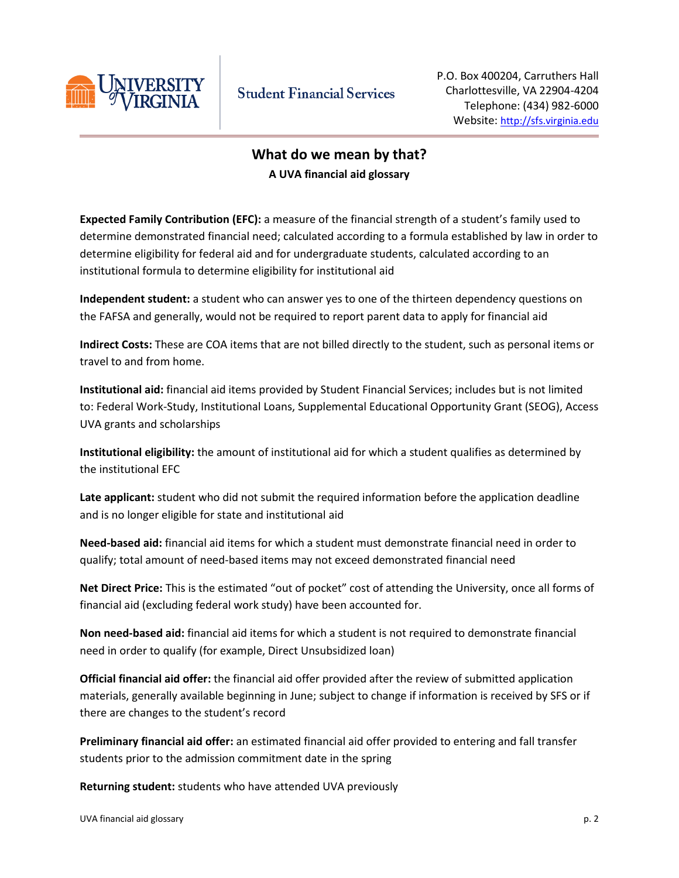

## **What do we mean by that? A UVA financial aid glossary**

**Expected Family Contribution (EFC):** a measure of the financial strength of a student's family used to determine demonstrated financial need; calculated according to a formula established by law in order to determine eligibility for federal aid and for undergraduate students, calculated according to an institutional formula to determine eligibility for institutional aid

**Independent student:** a student who can answer yes to one of the thirteen dependency questions on the FAFSA and generally, would not be required to report parent data to apply for financial aid

**Indirect Costs:** These are COA items that are not billed directly to the student, such as personal items or travel to and from home.

**Institutional aid:** financial aid items provided by Student Financial Services; includes but is not limited to: Federal Work-Study, Institutional Loans, Supplemental Educational Opportunity Grant (SEOG), Access UVA grants and scholarships

**Institutional eligibility:** the amount of institutional aid for which a student qualifies as determined by the institutional EFC

**Late applicant:** student who did not submit the required information before the application deadline and is no longer eligible for state and institutional aid

**Need-based aid:** financial aid items for which a student must demonstrate financial need in order to qualify; total amount of need-based items may not exceed demonstrated financial need

**Net Direct Price:** This is the estimated "out of pocket" cost of attending the University, once all forms of financial aid (excluding federal work study) have been accounted for.

**Non need-based aid:** financial aid items for which a student is not required to demonstrate financial need in order to qualify (for example, Direct Unsubsidized loan)

**Official financial aid offer:** the financial aid offer provided after the review of submitted application materials, generally available beginning in June; subject to change if information is received by SFS or if there are changes to the student's record

**Preliminary financial aid offer:** an estimated financial aid offer provided to entering and fall transfer students prior to the admission commitment date in the spring

**Returning student:** students who have attended UVA previously